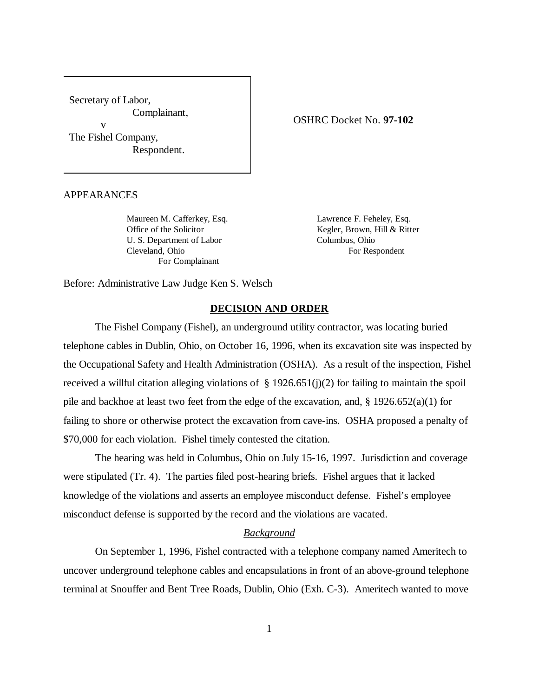Secretary of Labor, Complainant, v The Fishel Company,

Respondent.

APPEARANCES

U. S. Department of Labor Columbus, Ohio Cleveland, Ohio For Respondent For Complainant

Maureen M. Cafferkey, Esq. Lawrence F. Feheley, Esq. Office of the Solicitor Kegler, Brown, Hill & Ritter

Before: Administrative Law Judge Ken S. Welsch

# **DECISION AND ORDER**

The Fishel Company (Fishel), an underground utility contractor, was locating buried telephone cables in Dublin, Ohio, on October 16, 1996, when its excavation site was inspected by the Occupational Safety and Health Administration (OSHA). As a result of the inspection, Fishel received a willful citation alleging violations of  $\S$  1926.651(j)(2) for failing to maintain the spoil pile and backhoe at least two feet from the edge of the excavation, and, § 1926.652(a)(1) for failing to shore or otherwise protect the excavation from cave-ins. OSHA proposed a penalty of \$70,000 for each violation. Fishel timely contested the citation.

The hearing was held in Columbus, Ohio on July 15-16, 1997. Jurisdiction and coverage were stipulated (Tr. 4). The parties filed post-hearing briefs. Fishel argues that it lacked knowledge of the violations and asserts an employee misconduct defense. Fishel's employee misconduct defense is supported by the record and the violations are vacated.

# *Background*

On September 1, 1996, Fishel contracted with a telephone company named Ameritech to uncover underground telephone cables and encapsulations in front of an above-ground telephone terminal at Snouffer and Bent Tree Roads, Dublin, Ohio (Exh. C-3). Ameritech wanted to move

OSHRC Docket No. **97-102**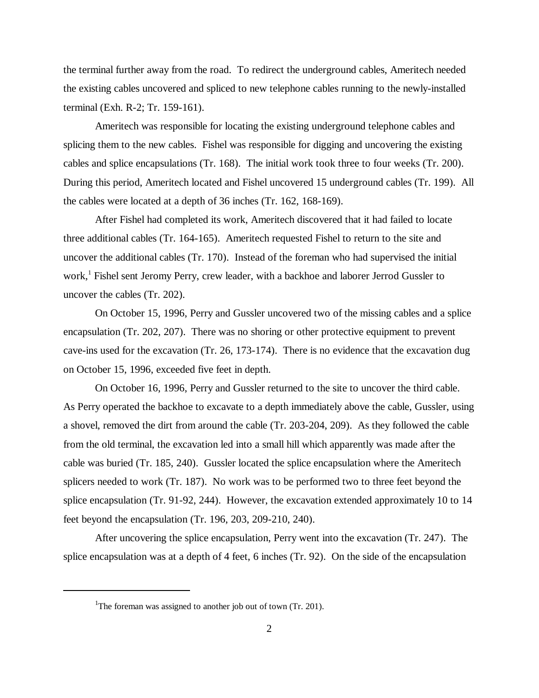the terminal further away from the road. To redirect the underground cables, Ameritech needed the existing cables uncovered and spliced to new telephone cables running to the newly-installed terminal (Exh. R-2; Tr. 159-161).

Ameritech was responsible for locating the existing underground telephone cables and splicing them to the new cables. Fishel was responsible for digging and uncovering the existing cables and splice encapsulations (Tr. 168). The initial work took three to four weeks (Tr. 200). During this period, Ameritech located and Fishel uncovered 15 underground cables (Tr. 199). All the cables were located at a depth of 36 inches (Tr. 162, 168-169).

After Fishel had completed its work, Ameritech discovered that it had failed to locate three additional cables (Tr. 164-165). Ameritech requested Fishel to return to the site and uncover the additional cables (Tr. 170). Instead of the foreman who had supervised the initial work,<sup>1</sup> Fishel sent Jeromy Perry, crew leader, with a backhoe and laborer Jerrod Gussler to uncover the cables (Tr. 202).

On October 15, 1996, Perry and Gussler uncovered two of the missing cables and a splice encapsulation (Tr. 202, 207). There was no shoring or other protective equipment to prevent cave-ins used for the excavation (Tr. 26, 173-174). There is no evidence that the excavation dug on October 15, 1996, exceeded five feet in depth.

On October 16, 1996, Perry and Gussler returned to the site to uncover the third cable. As Perry operated the backhoe to excavate to a depth immediately above the cable, Gussler, using a shovel, removed the dirt from around the cable (Tr. 203-204, 209). As they followed the cable from the old terminal, the excavation led into a small hill which apparently was made after the cable was buried (Tr. 185, 240). Gussler located the splice encapsulation where the Ameritech splicers needed to work (Tr. 187). No work was to be performed two to three feet beyond the splice encapsulation (Tr. 91-92, 244). However, the excavation extended approximately 10 to 14 feet beyond the encapsulation (Tr. 196, 203, 209-210, 240).

After uncovering the splice encapsulation, Perry went into the excavation (Tr. 247). The splice encapsulation was at a depth of 4 feet, 6 inches (Tr. 92). On the side of the encapsulation

<sup>&</sup>lt;sup>1</sup>The foreman was assigned to another job out of town (Tr. 201).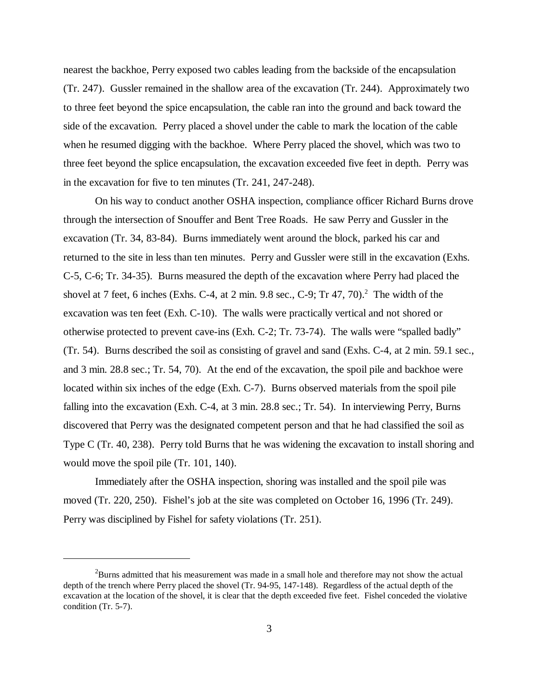nearest the backhoe, Perry exposed two cables leading from the backside of the encapsulation (Tr. 247). Gussler remained in the shallow area of the excavation (Tr. 244). Approximately two to three feet beyond the spice encapsulation, the cable ran into the ground and back toward the side of the excavation. Perry placed a shovel under the cable to mark the location of the cable when he resumed digging with the backhoe. Where Perry placed the shovel, which was two to three feet beyond the splice encapsulation, the excavation exceeded five feet in depth. Perry was in the excavation for five to ten minutes (Tr. 241, 247-248).

On his way to conduct another OSHA inspection, compliance officer Richard Burns drove through the intersection of Snouffer and Bent Tree Roads. He saw Perry and Gussler in the excavation (Tr. 34, 83-84). Burns immediately went around the block, parked his car and returned to the site in less than ten minutes. Perry and Gussler were still in the excavation (Exhs. C-5, C-6; Tr. 34-35). Burns measured the depth of the excavation where Perry had placed the shovel at 7 feet, 6 inches (Exhs. C-4, at 2 min. 9.8 sec., C-9; Tr 47, 70).<sup>2</sup> The width of the excavation was ten feet (Exh. C-10). The walls were practically vertical and not shored or otherwise protected to prevent cave-ins (Exh. C-2; Tr. 73-74). The walls were "spalled badly" (Tr. 54). Burns described the soil as consisting of gravel and sand (Exhs. C-4, at 2 min. 59.1 sec., and 3 min. 28.8 sec.; Tr. 54, 70). At the end of the excavation, the spoil pile and backhoe were located within six inches of the edge (Exh. C-7). Burns observed materials from the spoil pile falling into the excavation (Exh. C-4, at 3 min. 28.8 sec.; Tr. 54). In interviewing Perry, Burns discovered that Perry was the designated competent person and that he had classified the soil as Type C (Tr. 40, 238). Perry told Burns that he was widening the excavation to install shoring and would move the spoil pile (Tr. 101, 140).

Immediately after the OSHA inspection, shoring was installed and the spoil pile was moved (Tr. 220, 250). Fishel's job at the site was completed on October 16, 1996 (Tr. 249). Perry was disciplined by Fishel for safety violations (Tr. 251).

<sup>&</sup>lt;sup>2</sup>Burns admitted that his measurement was made in a small hole and therefore may not show the actual depth of the trench where Perry placed the shovel (Tr. 94-95, 147-148). Regardless of the actual depth of the excavation at the location of the shovel, it is clear that the depth exceeded five feet. Fishel conceded the violative condition (Tr. 5-7).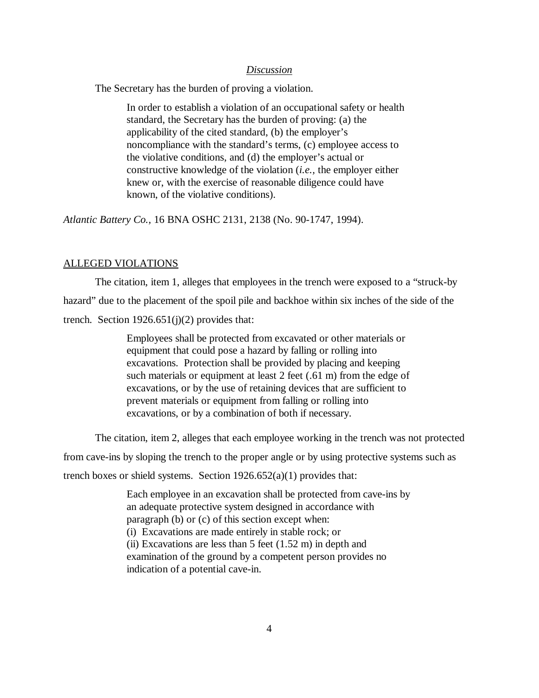#### *Discussion*

The Secretary has the burden of proving a violation.

In order to establish a violation of an occupational safety or health standard, the Secretary has the burden of proving: (a) the applicability of the cited standard, (b) the employer's noncompliance with the standard's terms, (c) employee access to the violative conditions, and (d) the employer's actual or constructive knowledge of the violation (*i.e.,* the employer either knew or, with the exercise of reasonable diligence could have known, of the violative conditions).

*Atlantic Battery Co.,* 16 BNA OSHC 2131, 2138 (No. 90-1747, 1994).

### ALLEGED VIOLATIONS

The citation, item 1, alleges that employees in the trench were exposed to a "struck-by hazard" due to the placement of the spoil pile and backhoe within six inches of the side of the trench. Section  $1926.651(j)(2)$  provides that:

> Employees shall be protected from excavated or other materials or equipment that could pose a hazard by falling or rolling into excavations. Protection shall be provided by placing and keeping such materials or equipment at least 2 feet (.61 m) from the edge of excavations, or by the use of retaining devices that are sufficient to prevent materials or equipment from falling or rolling into excavations, or by a combination of both if necessary.

The citation, item 2, alleges that each employee working in the trench was not protected

from cave-ins by sloping the trench to the proper angle or by using protective systems such as

trench boxes or shield systems. Section  $1926.652(a)(1)$  provides that:

Each employee in an excavation shall be protected from cave-ins by an adequate protective system designed in accordance with paragraph (b) or (c) of this section except when: (i) Excavations are made entirely in stable rock; or (ii) Excavations are less than  $5$  feet  $(1.52 \text{ m})$  in depth and examination of the ground by a competent person provides no indication of a potential cave-in.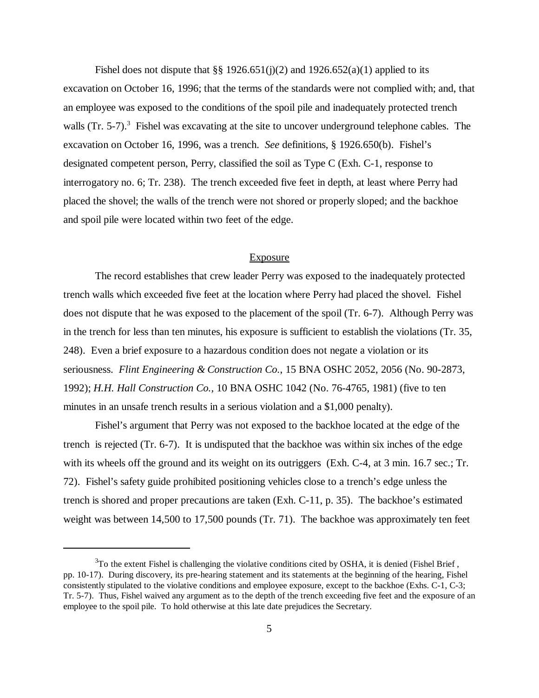Fishel does not dispute that  $\S\S 1926.651(j)(2)$  and  $1926.652(a)(1)$  applied to its excavation on October 16, 1996; that the terms of the standards were not complied with; and, that an employee was exposed to the conditions of the spoil pile and inadequately protected trench walls  $(Tr. 5-7)$ .<sup>3</sup> Fishel was excavating at the site to uncover underground telephone cables. The excavation on October 16, 1996, was a trench. *See* definitions, § 1926.650(b). Fishel's designated competent person, Perry, classified the soil as Type C (Exh. C-1, response to interrogatory no. 6; Tr. 238). The trench exceeded five feet in depth, at least where Perry had placed the shovel; the walls of the trench were not shored or properly sloped; and the backhoe and spoil pile were located within two feet of the edge.

# Exposure

The record establishes that crew leader Perry was exposed to the inadequately protected trench walls which exceeded five feet at the location where Perry had placed the shovel. Fishel does not dispute that he was exposed to the placement of the spoil (Tr. 6-7). Although Perry was in the trench for less than ten minutes, his exposure is sufficient to establish the violations (Tr. 35, 248). Even a brief exposure to a hazardous condition does not negate a violation or its seriousness. *Flint Engineering & Construction Co.*, 15 BNA OSHC 2052, 2056 (No. 90-2873, 1992); *H.H. Hall Construction Co.,* 10 BNA OSHC 1042 (No. 76-4765, 1981) (five to ten minutes in an unsafe trench results in a serious violation and a \$1,000 penalty).

Fishel's argument that Perry was not exposed to the backhoe located at the edge of the trench is rejected (Tr. 6-7). It is undisputed that the backhoe was within six inches of the edge with its wheels off the ground and its weight on its outriggers (Exh. C-4, at 3 min. 16.7 sec.; Tr. 72). Fishel's safety guide prohibited positioning vehicles close to a trench's edge unless the trench is shored and proper precautions are taken (Exh. C-11, p. 35). The backhoe's estimated weight was between 14,500 to 17,500 pounds (Tr. 71). The backhoe was approximately ten feet

 $3$ To the extent Fishel is challenging the violative conditions cited by OSHA, it is denied (Fishel Brief, pp. 10-17). During discovery, its pre-hearing statement and its statements at the beginning of the hearing, Fishel consistently stipulated to the violative conditions and employee exposure, except to the backhoe (Exhs. C-1, C-3; Tr. 5-7). Thus, Fishel waived any argument as to the depth of the trench exceeding five feet and the exposure of an employee to the spoil pile. To hold otherwise at this late date prejudices the Secretary.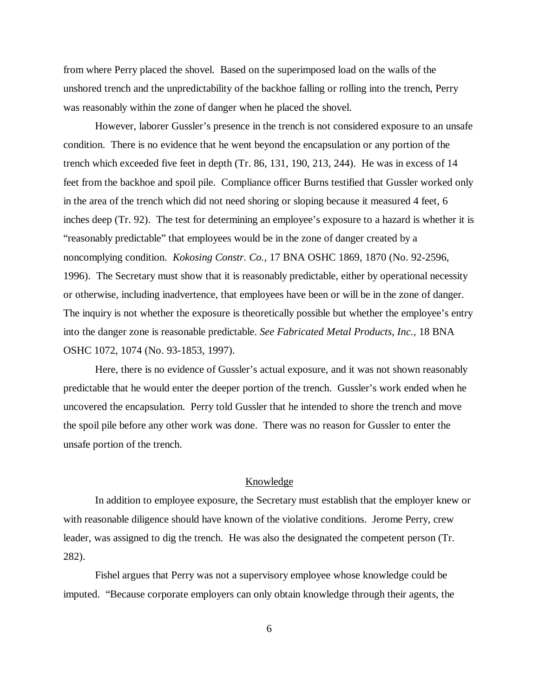from where Perry placed the shovel. Based on the superimposed load on the walls of the unshored trench and the unpredictability of the backhoe falling or rolling into the trench, Perry was reasonably within the zone of danger when he placed the shovel.

However, laborer Gussler's presence in the trench is not considered exposure to an unsafe condition. There is no evidence that he went beyond the encapsulation or any portion of the trench which exceeded five feet in depth (Tr. 86, 131, 190, 213, 244). He was in excess of 14 feet from the backhoe and spoil pile. Compliance officer Burns testified that Gussler worked only in the area of the trench which did not need shoring or sloping because it measured 4 feet, 6 inches deep (Tr. 92). The test for determining an employee's exposure to a hazard is whether it is "reasonably predictable" that employees would be in the zone of danger created by a noncomplying condition. *Kokosing Constr. Co.,* 17 BNA OSHC 1869, 1870 (No. 92-2596, 1996). The Secretary must show that it is reasonably predictable, either by operational necessity or otherwise, including inadvertence, that employees have been or will be in the zone of danger. The inquiry is not whether the exposure is theoretically possible but whether the employee's entry into the danger zone is reasonable predictable. *See Fabricated Metal Products, Inc.,* 18 BNA OSHC 1072, 1074 (No. 93-1853, 1997).

Here, there is no evidence of Gussler's actual exposure, and it was not shown reasonably predictable that he would enter the deeper portion of the trench. Gussler's work ended when he uncovered the encapsulation. Perry told Gussler that he intended to shore the trench and move the spoil pile before any other work was done. There was no reason for Gussler to enter the unsafe portion of the trench.

#### Knowledge

In addition to employee exposure, the Secretary must establish that the employer knew or with reasonable diligence should have known of the violative conditions. Jerome Perry, crew leader, was assigned to dig the trench. He was also the designated the competent person (Tr. 282).

Fishel argues that Perry was not a supervisory employee whose knowledge could be imputed. "Because corporate employers can only obtain knowledge through their agents, the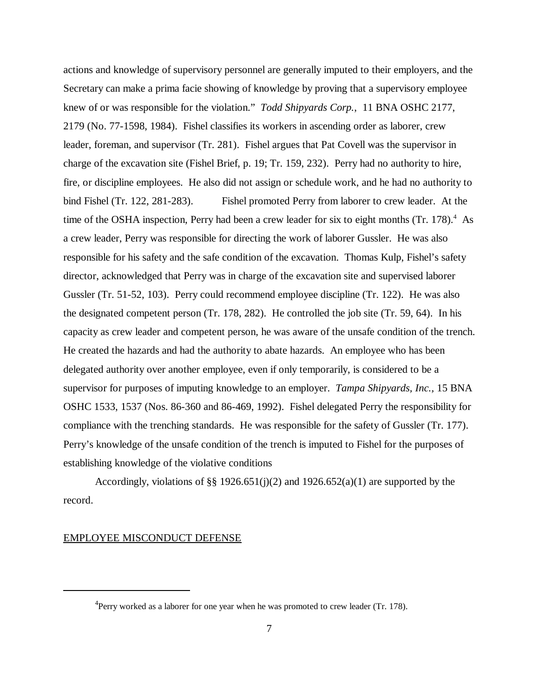actions and knowledge of supervisory personnel are generally imputed to their employers, and the Secretary can make a prima facie showing of knowledge by proving that a supervisory employee knew of or was responsible for the violation." *Todd Shipyards Corp.*, 11 BNA OSHC 2177, 2179 (No. 77-1598, 1984). Fishel classifies its workers in ascending order as laborer, crew leader, foreman, and supervisor (Tr. 281). Fishel argues that Pat Covell was the supervisor in charge of the excavation site (Fishel Brief, p. 19; Tr. 159, 232). Perry had no authority to hire, fire, or discipline employees. He also did not assign or schedule work, and he had no authority to bind Fishel (Tr. 122, 281-283). Fishel promoted Perry from laborer to crew leader. At the time of the OSHA inspection, Perry had been a crew leader for six to eight months (Tr. 178).<sup>4</sup> As a crew leader, Perry was responsible for directing the work of laborer Gussler. He was also responsible for his safety and the safe condition of the excavation. Thomas Kulp, Fishel's safety director, acknowledged that Perry was in charge of the excavation site and supervised laborer Gussler (Tr. 51-52, 103). Perry could recommend employee discipline (Tr. 122). He was also the designated competent person (Tr. 178, 282). He controlled the job site (Tr. 59, 64). In his capacity as crew leader and competent person, he was aware of the unsafe condition of the trench. He created the hazards and had the authority to abate hazards. An employee who has been delegated authority over another employee, even if only temporarily, is considered to be a supervisor for purposes of imputing knowledge to an employer. *Tampa Shipyards, Inc.,* 15 BNA OSHC 1533, 1537 (Nos. 86-360 and 86-469, 1992). Fishel delegated Perry the responsibility for compliance with the trenching standards. He was responsible for the safety of Gussler (Tr. 177). Perry's knowledge of the unsafe condition of the trench is imputed to Fishel for the purposes of establishing knowledge of the violative conditions

Accordingly, violations of §§ 1926.651(j)(2) and 1926.652(a)(1) are supported by the record.

### EMPLOYEE MISCONDUCT DEFENSE

 ${}^{4}$ Perry worked as a laborer for one year when he was promoted to crew leader (Tr. 178).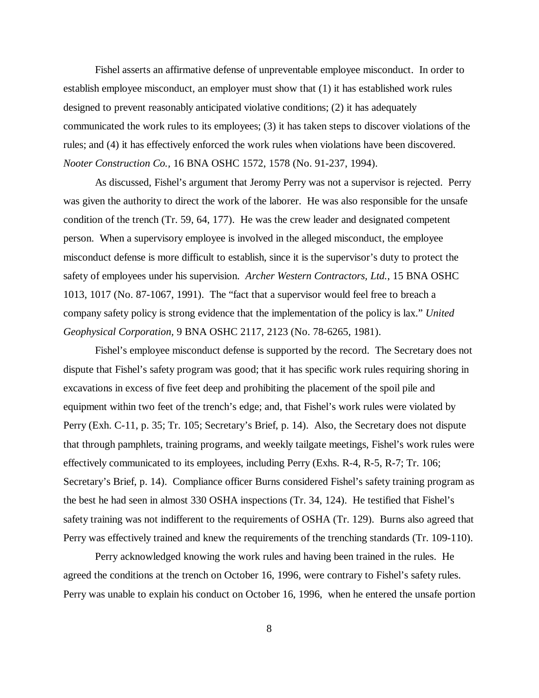Fishel asserts an affirmative defense of unpreventable employee misconduct. In order to establish employee misconduct, an employer must show that (1) it has established work rules designed to prevent reasonably anticipated violative conditions; (2) it has adequately communicated the work rules to its employees; (3) it has taken steps to discover violations of the rules; and (4) it has effectively enforced the work rules when violations have been discovered. *Nooter Construction Co.,* 16 BNA OSHC 1572, 1578 (No. 91-237, 1994).

As discussed, Fishel's argument that Jeromy Perry was not a supervisor is rejected. Perry was given the authority to direct the work of the laborer. He was also responsible for the unsafe condition of the trench (Tr. 59, 64, 177). He was the crew leader and designated competent person. When a supervisory employee is involved in the alleged misconduct, the employee misconduct defense is more difficult to establish, since it is the supervisor's duty to protect the safety of employees under his supervision. *Archer Western Contractors, Ltd.*, 15 BNA OSHC 1013, 1017 (No. 87-1067, 1991). The "fact that a supervisor would feel free to breach a company safety policy is strong evidence that the implementation of the policy is lax." *United Geophysical Corporation,* 9 BNA OSHC 2117, 2123 (No. 78-6265, 1981).

Fishel's employee misconduct defense is supported by the record. The Secretary does not dispute that Fishel's safety program was good; that it has specific work rules requiring shoring in excavations in excess of five feet deep and prohibiting the placement of the spoil pile and equipment within two feet of the trench's edge; and, that Fishel's work rules were violated by Perry (Exh. C-11, p. 35; Tr. 105; Secretary's Brief, p. 14). Also, the Secretary does not dispute that through pamphlets, training programs, and weekly tailgate meetings, Fishel's work rules were effectively communicated to its employees, including Perry (Exhs. R-4, R-5, R-7; Tr. 106; Secretary's Brief, p. 14). Compliance officer Burns considered Fishel's safety training program as the best he had seen in almost 330 OSHA inspections (Tr. 34, 124). He testified that Fishel's safety training was not indifferent to the requirements of OSHA (Tr. 129). Burns also agreed that Perry was effectively trained and knew the requirements of the trenching standards (Tr. 109-110).

Perry acknowledged knowing the work rules and having been trained in the rules. He agreed the conditions at the trench on October 16, 1996, were contrary to Fishel's safety rules. Perry was unable to explain his conduct on October 16, 1996, when he entered the unsafe portion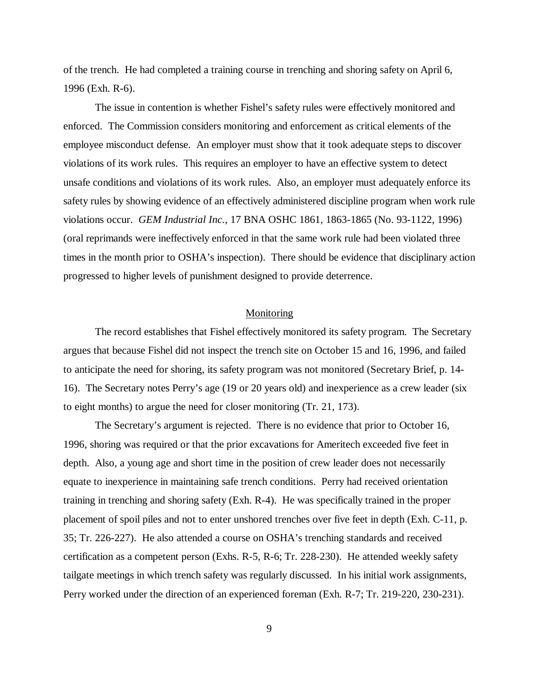of the trench. He had completed a training course in trenching and shoring safety on April 6, 1996 (Exh. R-6).

The issue in contention is whether Fishel's safety rules were effectively monitored and enforced. The Commission considers monitoring and enforcement as critical elements of the employee misconduct defense. An employer must show that it took adequate steps to discover violations of its work rules. This requires an employer to have an effective system to detect unsafe conditions and violations of its work rules. Also, an employer must adequately enforce its safety rules by showing evidence of an effectively administered discipline program when work rule violations occur. *GEM Industrial Inc*., 17 BNA OSHC 1861, 1863-1865 (No. 93-1122, 1996) (oral reprimands were ineffectively enforced in that the same work rule had been violated three times in the month prior to OSHA's inspection). There should be evidence that disciplinary action progressed to higher levels of punishment designed to provide deterrence.

#### **Monitoring**

The record establishes that Fishel effectively monitored its safety program. The Secretary argues that because Fishel did not inspect the trench site on October 15 and 16, 1996, and failed to anticipate the need for shoring, its safety program was not monitored (Secretary Brief, p. 14- 16). The Secretary notes Perry's age (19 or 20 years old) and inexperience as a crew leader (six to eight months) to argue the need for closer monitoring (Tr. 21, 173).

The Secretary's argument is rejected. There is no evidence that prior to October 16, 1996, shoring was required or that the prior excavations for Ameritech exceeded five feet in depth. Also, a young age and short time in the position of crew leader does not necessarily equate to inexperience in maintaining safe trench conditions. Perry had received orientation training in trenching and shoring safety (Exh. R-4). He was specifically trained in the proper placement of spoil piles and not to enter unshored trenches over five feet in depth (Exh. C-11, p. 35; Tr. 226-227). He also attended a course on OSHA's trenching standards and received certification as a competent person (Exhs. R-5, R-6; Tr. 228-230). He attended weekly safety tailgate meetings in which trench safety was regularly discussed. In his initial work assignments, Perry worked under the direction of an experienced foreman (Exh. R-7; Tr. 219-220, 230-231).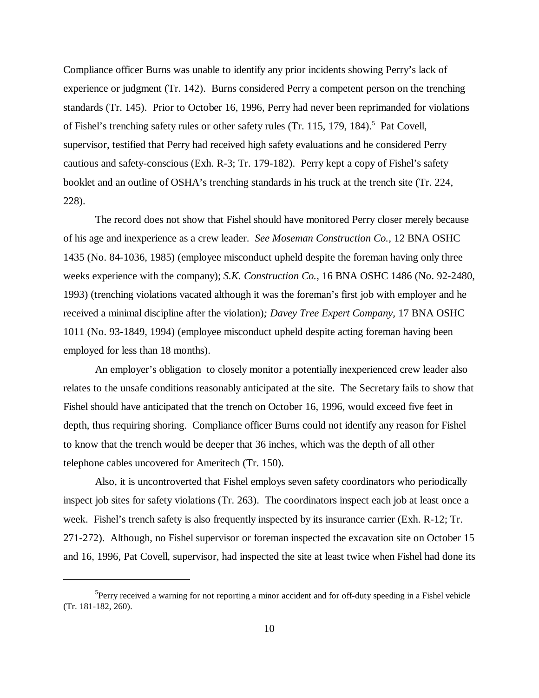Compliance officer Burns was unable to identify any prior incidents showing Perry's lack of experience or judgment (Tr. 142). Burns considered Perry a competent person on the trenching standards (Tr. 145). Prior to October 16, 1996, Perry had never been reprimanded for violations of Fishel's trenching safety rules or other safety rules (Tr. 115, 179, 184).<sup>5</sup> Pat Covell, supervisor, testified that Perry had received high safety evaluations and he considered Perry cautious and safety-conscious (Exh. R-3; Tr. 179-182). Perry kept a copy of Fishel's safety booklet and an outline of OSHA's trenching standards in his truck at the trench site (Tr. 224, 228).

The record does not show that Fishel should have monitored Perry closer merely because of his age and inexperience as a crew leader. *See Moseman Construction Co.,* 12 BNA OSHC 1435 (No. 84-1036, 1985) (employee misconduct upheld despite the foreman having only three weeks experience with the company); *S.K. Construction Co.,* 16 BNA OSHC 1486 (No. 92-2480, 1993) (trenching violations vacated although it was the foreman's first job with employer and he received a minimal discipline after the violation)*; Davey Tree Expert Company,* 17 BNA OSHC 1011 (No. 93-1849, 1994) (employee misconduct upheld despite acting foreman having been employed for less than 18 months).

An employer's obligation to closely monitor a potentially inexperienced crew leader also relates to the unsafe conditions reasonably anticipated at the site. The Secretary fails to show that Fishel should have anticipated that the trench on October 16, 1996, would exceed five feet in depth, thus requiring shoring. Compliance officer Burns could not identify any reason for Fishel to know that the trench would be deeper that 36 inches, which was the depth of all other telephone cables uncovered for Ameritech (Tr. 150).

Also, it is uncontroverted that Fishel employs seven safety coordinators who periodically inspect job sites for safety violations (Tr. 263). The coordinators inspect each job at least once a week. Fishel's trench safety is also frequently inspected by its insurance carrier (Exh. R-12; Tr. 271-272). Although, no Fishel supervisor or foreman inspected the excavation site on October 15 and 16, 1996, Pat Covell, supervisor, had inspected the site at least twice when Fishel had done its

<sup>&</sup>lt;sup>5</sup>Perry received a warning for not reporting a minor accident and for off-duty speeding in a Fishel vehicle (Tr. 181-182, 260).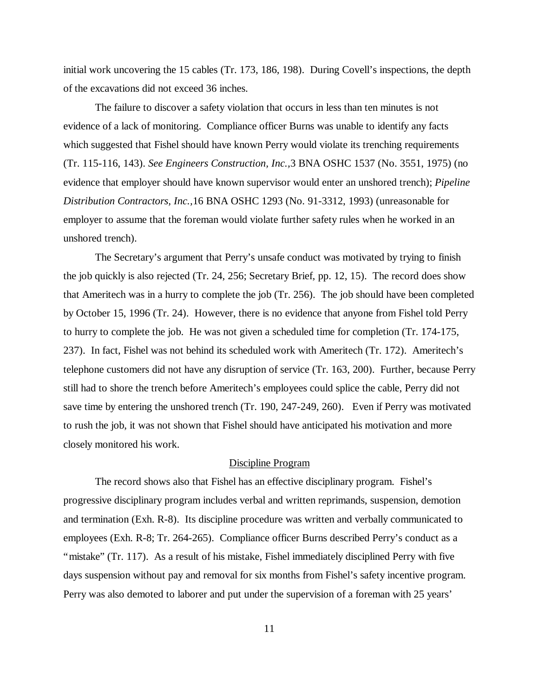initial work uncovering the 15 cables (Tr. 173, 186, 198). During Covell's inspections, the depth of the excavations did not exceed 36 inches.

The failure to discover a safety violation that occurs in less than ten minutes is not evidence of a lack of monitoring. Compliance officer Burns was unable to identify any facts which suggested that Fishel should have known Perry would violate its trenching requirements (Tr. 115-116, 143). *See Engineers Construction, Inc.,*3 BNA OSHC 1537 (No. 3551, 1975) (no evidence that employer should have known supervisor would enter an unshored trench); *Pipeline Distribution Contractors, Inc.,*16 BNA OSHC 1293 (No. 91-3312, 1993) (unreasonable for employer to assume that the foreman would violate further safety rules when he worked in an unshored trench).

The Secretary's argument that Perry's unsafe conduct was motivated by trying to finish the job quickly is also rejected (Tr. 24, 256; Secretary Brief, pp. 12, 15). The record does show that Ameritech was in a hurry to complete the job (Tr. 256). The job should have been completed by October 15, 1996 (Tr. 24). However, there is no evidence that anyone from Fishel told Perry to hurry to complete the job. He was not given a scheduled time for completion (Tr. 174-175, 237). In fact, Fishel was not behind its scheduled work with Ameritech (Tr. 172). Ameritech's telephone customers did not have any disruption of service (Tr. 163, 200). Further, because Perry still had to shore the trench before Ameritech's employees could splice the cable, Perry did not save time by entering the unshored trench (Tr. 190, 247-249, 260). Even if Perry was motivated to rush the job, it was not shown that Fishel should have anticipated his motivation and more closely monitored his work.

#### Discipline Program

The record shows also that Fishel has an effective disciplinary program. Fishel's progressive disciplinary program includes verbal and written reprimands, suspension, demotion and termination (Exh. R-8). Its discipline procedure was written and verbally communicated to employees (Exh. R-8; Tr. 264-265). Compliance officer Burns described Perry's conduct as a "mistake" (Tr. 117). As a result of his mistake, Fishel immediately disciplined Perry with five days suspension without pay and removal for six months from Fishel's safety incentive program. Perry was also demoted to laborer and put under the supervision of a foreman with 25 years'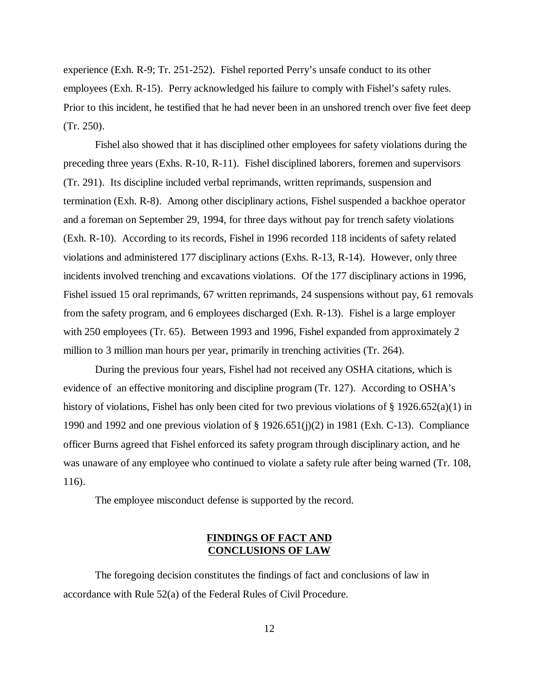experience (Exh. R-9; Tr. 251-252). Fishel reported Perry's unsafe conduct to its other employees (Exh. R-15). Perry acknowledged his failure to comply with Fishel's safety rules. Prior to this incident, he testified that he had never been in an unshored trench over five feet deep (Tr. 250).

Fishel also showed that it has disciplined other employees for safety violations during the preceding three years (Exhs. R-10, R-11). Fishel disciplined laborers, foremen and supervisors (Tr. 291). Its discipline included verbal reprimands, written reprimands, suspension and termination (Exh. R-8). Among other disciplinary actions, Fishel suspended a backhoe operator and a foreman on September 29, 1994, for three days without pay for trench safety violations (Exh. R-10). According to its records, Fishel in 1996 recorded 118 incidents of safety related violations and administered 177 disciplinary actions (Exhs. R-13, R-14). However, only three incidents involved trenching and excavations violations. Of the 177 disciplinary actions in 1996, Fishel issued 15 oral reprimands, 67 written reprimands, 24 suspensions without pay, 61 removals from the safety program, and 6 employees discharged (Exh. R-13). Fishel is a large employer with 250 employees (Tr. 65). Between 1993 and 1996, Fishel expanded from approximately 2 million to 3 million man hours per year, primarily in trenching activities (Tr. 264).

During the previous four years, Fishel had not received any OSHA citations, which is evidence of an effective monitoring and discipline program (Tr. 127). According to OSHA's history of violations, Fishel has only been cited for two previous violations of § 1926.652(a)(1) in 1990 and 1992 and one previous violation of § 1926.651(j)(2) in 1981 (Exh. C-13). Compliance officer Burns agreed that Fishel enforced its safety program through disciplinary action, and he was unaware of any employee who continued to violate a safety rule after being warned (Tr. 108, 116).

The employee misconduct defense is supported by the record.

# **FINDINGS OF FACT AND CONCLUSIONS OF LAW**

The foregoing decision constitutes the findings of fact and conclusions of law in accordance with Rule 52(a) of the Federal Rules of Civil Procedure.